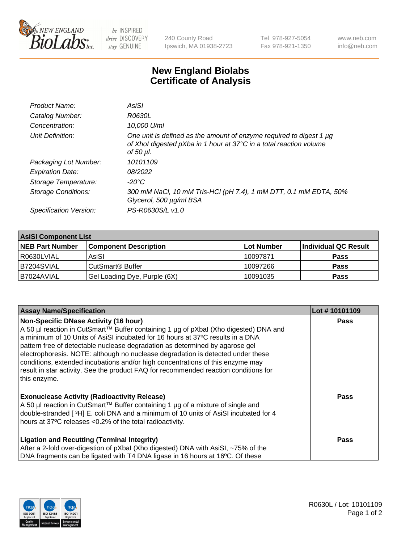

 $be$  INSPIRED drive DISCOVERY stay GENUINE

240 County Road Ipswich, MA 01938-2723 Tel 978-927-5054 Fax 978-921-1350 www.neb.com info@neb.com

## **New England Biolabs Certificate of Analysis**

| Product Name:              | AsiSI                                                                                                                                                  |
|----------------------------|--------------------------------------------------------------------------------------------------------------------------------------------------------|
| Catalog Number:            | R0630L                                                                                                                                                 |
| Concentration:             | 10,000 U/ml                                                                                                                                            |
| Unit Definition:           | One unit is defined as the amount of enzyme required to digest 1 µg<br>of Xhol digested pXba in 1 hour at 37°C in a total reaction volume<br>of 50 µl. |
| Packaging Lot Number:      | 10101109                                                                                                                                               |
| <b>Expiration Date:</b>    | 08/2022                                                                                                                                                |
| Storage Temperature:       | $-20^{\circ}$ C                                                                                                                                        |
| <b>Storage Conditions:</b> | 300 mM NaCl, 10 mM Tris-HCl (pH 7.4), 1 mM DTT, 0.1 mM EDTA, 50%<br>Glycerol, 500 µg/ml BSA                                                            |
| Specification Version:     | PS-R0630S/L v1.0                                                                                                                                       |

| <b>AsiSI Component List</b> |                              |            |                      |  |  |
|-----------------------------|------------------------------|------------|----------------------|--|--|
| <b>NEB Part Number</b>      | <b>Component Description</b> | Lot Number | Individual QC Result |  |  |
| R0630LVIAL                  | AsiSI                        | 10097871   | <b>Pass</b>          |  |  |
| B7204SVIAL                  | CutSmart <sup>®</sup> Buffer | 10097266   | <b>Pass</b>          |  |  |
| B7024AVIAL                  | Gel Loading Dye, Purple (6X) | 10091035   | <b>Pass</b>          |  |  |

| <b>Assay Name/Specification</b>                                                                                                                                                                                                                                                                                                                                                                                                                                                                                                                                                     | Lot #10101109 |
|-------------------------------------------------------------------------------------------------------------------------------------------------------------------------------------------------------------------------------------------------------------------------------------------------------------------------------------------------------------------------------------------------------------------------------------------------------------------------------------------------------------------------------------------------------------------------------------|---------------|
| <b>Non-Specific DNase Activity (16 hour)</b><br>A 50 µl reaction in CutSmart™ Buffer containing 1 µg of pXbal (Xho digested) DNA and<br>a minimum of 10 Units of AsiSI incubated for 16 hours at 37°C results in a DNA<br>pattern free of detectable nuclease degradation as determined by agarose gel<br>electrophoresis. NOTE: although no nuclease degradation is detected under these<br>conditions, extended incubations and/or high concentrations of this enzyme may<br>result in star activity. See the product FAQ for recommended reaction conditions for<br>this enzyme. | <b>Pass</b>   |
| <b>Exonuclease Activity (Radioactivity Release)</b><br>A 50 µl reaction in CutSmart™ Buffer containing 1 µg of a mixture of single and<br>double-stranded [3H] E. coli DNA and a minimum of 10 units of AsiSI incubated for 4<br>hours at 37°C releases <0.2% of the total radioactivity.                                                                                                                                                                                                                                                                                           | Pass          |
| <b>Ligation and Recutting (Terminal Integrity)</b><br>After a 2-fold over-digestion of pXbal (Xho digested) DNA with AsiSI, ~75% of the<br>DNA fragments can be ligated with T4 DNA ligase in 16 hours at 16°C. Of these                                                                                                                                                                                                                                                                                                                                                            | Pass          |